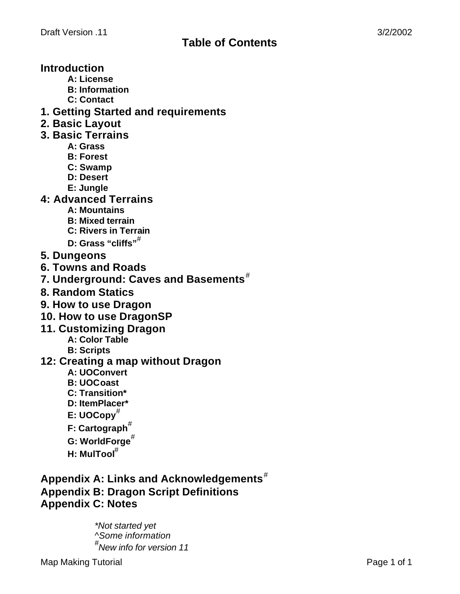# **Introduction**

- **A: License**
- **B: Information**
- **C: Contact**
- **1. Getting Started and requirements**
- **2. Basic Layout**
- **3. Basic Terrains**
	- **A: Grass**
	- **B: Forest**
	- **C: Swamp**
	- **D: Desert**
	- **E: Jungle**
- **4: Advanced Terrains**
	- **A: Mountains**
	- **B: Mixed terrain**
	- **C: Rivers in Terrain**
	- **D: Grass "cliffs"***#*
- **5. Dungeons**
- **6. Towns and Roads**
- **7. Underground: Caves and Basements***#*
- **8. Random Statics**
- **9. How to use Dragon**
- **10. How to use DragonSP**
- **11. Customizing Dragon**
	- **A: Color Table**
	- **B: Scripts**
- **12: Creating a map without Dragon**
	- **A: UOConvert**
	- **B: UOCoast**
	- **C: Transition\***
	- **D: ItemPlacer\***
	- **E: UOCopy***#*
	- **F: Cartograph***#*
	- **G: WorldForge***#*
	- **H: MulTool***#*

**Appendix A: Links and Acknowledgements***#* **Appendix B: Dragon Script Definitions Appendix C: Notes**

> *\*Not started yet ^Some information # New info for version 11*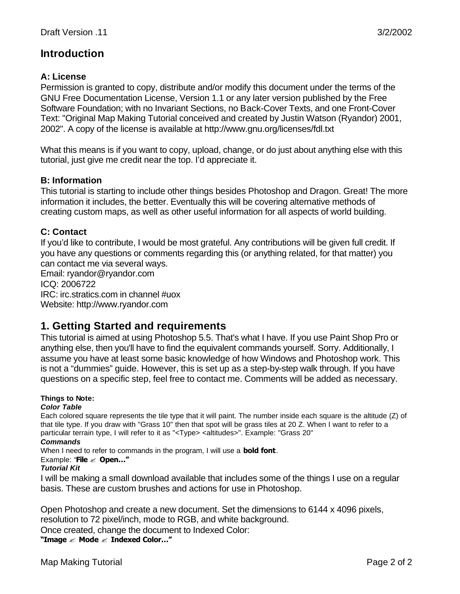# **Introduction**

# **A: License**

Permission is granted to copy, distribute and/or modify this document under the terms of the GNU Free Documentation License, Version 1.1 or any later version published by the Free Software Foundation; with no Invariant Sections, no Back-Cover Texts, and one Front-Cover Text: "Original Map Making Tutorial conceived and created by Justin Watson (Ryandor) 2001, 2002". A copy of the license is available at http://www.gnu.org/licenses/fdl.txt

What this means is if you want to copy, upload, change, or do just about anything else with this tutorial, just give me credit near the top. I'd appreciate it.

### **B: Information**

This tutorial is starting to include other things besides Photoshop and Dragon. Great! The more information it includes, the better. Eventually this will be covering alternative methods of creating custom maps, as well as other useful information for all aspects of world building.

### **C: Contact**

If you'd like to contribute, I would be most grateful. Any contributions will be given full credit. If you have any questions or comments regarding this (or anything related, for that matter) you can contact me via several ways.

Email: ryandor@ryandor.com ICQ: 2006722 IRC: irc.stratics.com in channel #uox Website: http://www.ryandor.com

# **1. Getting Started and requirements**

This tutorial is aimed at using Photoshop 5.5. That's what I have. If you use Paint Shop Pro or anything else, then you'll have to find the equivalent commands yourself. Sorry. Additionally, I assume you have at least some basic knowledge of how Windows and Photoshop work. This is not a "dummies" guide. However, this is set up as a step-by-step walk through. If you have questions on a specific step, feel free to contact me. Comments will be added as necessary.

#### **Things to Note:**

#### *Color Table*

Each colored square represents the tile type that it will paint. The number inside each square is the altitude (Z) of that tile type. If you draw with "Grass 10" then that spot will be grass tiles at 20 Z. When I want to refer to a particular terrain type, I will refer to it as "<Type> <altitudes>". Example: "Grass 20"

#### *Commands*

When I need to refer to commands in the program, I will use a **bold font**.

#### Example: "**File** ? **Open…"**

#### *Tutorial Kit*

I will be making a small download available that includes some of the things I use on a regular basis. These are custom brushes and actions for use in Photoshop.

Open Photoshop and create a new document. Set the dimensions to 6144 x 4096 pixels, resolution to 72 pixel/inch, mode to RGB, and white background.

Once created, change the document to Indexed Color:

**"Image** ? **Mode** ? **Indexed Color…"**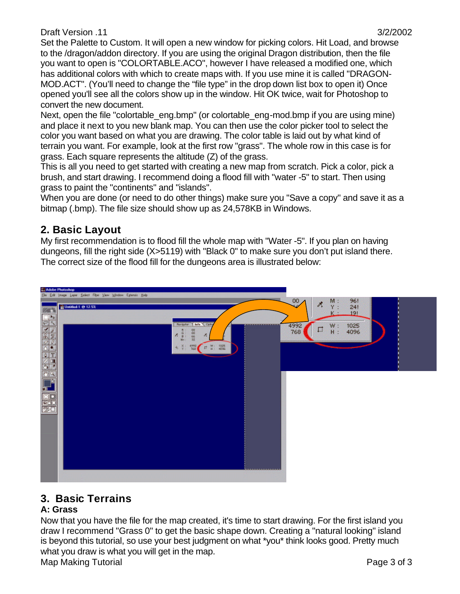Set the Palette to Custom. It will open a new window for picking colors. Hit Load, and browse to the /dragon/addon directory. If you are using the original Dragon distribution, then the file you want to open is "COLORTABLE.ACO", however I have released a modified one, which has additional colors with which to create maps with. If you use mine it is called "DRAGON-MOD.ACT". (You'll need to change the "file type" in the drop down list box to open it) Once opened you'll see all the colors show up in the window. Hit OK twice, wait for Photoshop to convert the new document.

Next, open the file "colortable\_eng.bmp" (or colortable\_eng-mod.bmp if you are using mine) and place it next to you new blank map. You can then use the color picker tool to select the color you want based on what you are drawing. The color table is laid out by what kind of terrain you want. For example, look at the first row "grass". The whole row in this case is for grass. Each square represents the altitude (Z) of the grass.

This is all you need to get started with creating a new map from scratch. Pick a color, pick a brush, and start drawing. I recommend doing a flood fill with "water -5" to start. Then using grass to paint the "continents" and "islands".

When you are done (or need to do other things) make sure you "Save a copy" and save it as a bitmap (.bmp). The file size should show up as 24,578KB in Windows.

# **2. Basic Layout**

My first recommendation is to flood fill the whole map with "Water -5". If you plan on having dungeons, fill the right side (X>5119) with "Black 0" to make sure you don't put island there. The correct size of the flood fill for the dungeons area is illustrated below:



# **3. Basic Terrains**

### **A: Grass**

Now that you have the file for the map created, it's time to start drawing. For the first island you draw I recommend "Grass 0" to get the basic shape down. Creating a "natural looking" island is beyond this tutorial, so use your best judgment on what \*you\* think looks good. Pretty much what you draw is what you will get in the map.

Map Making Tutorial **Page 3 of 3** and 2 of 3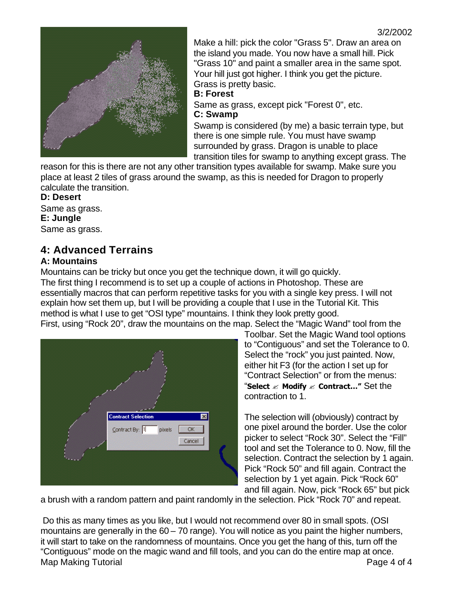

Make a hill: pick the color "Grass 5". Draw an area on the island you made. You now have a small hill. Pick "Grass 10" and paint a smaller area in the same spot. Your hill just got higher. I think you get the picture. Grass is pretty basic.

#### **B: Forest**

Same as grass, except pick "Forest 0", etc. **C: Swamp**

Swamp is considered (by me) a basic terrain type, but there is one simple rule. You must have swamp surrounded by grass. Dragon is unable to place transition tiles for swamp to anything except grass. The

reason for this is there are not any other transition types available for swamp. Make sure you place at least 2 tiles of grass around the swamp, as this is needed for Dragon to properly calculate the transition.

### **D: Desert**

Same as grass. **E: Jungle** Same as grass.

# **4: Advanced Terrains**

### **A: Mountains**

Mountains can be tricky but once you get the technique down, it will go quickly. The first thing I recommend is to set up a couple of actions in Photoshop. These are essentially macros that can perform repetitive tasks for you with a single key press. I will not explain how set them up, but I will be providing a couple that I use in the Tutorial Kit. This method is what I use to get "OSI type" mountains. I think they look pretty good. First, using "Rock 20", draw the mountains on the map. Select the "Magic Wand" tool from the



Toolbar. Set the Magic Wand tool options to "Contiguous" and set the Tolerance to 0. Select the "rock" you just painted. Now, either hit F3 (for the action I set up for "Contract Selection" or from the menus: "**Select** ? **Modify** ? **Contract…"** Set the contraction to 1.

The selection will (obviously) contract by one pixel around the border. Use the color picker to select "Rock 30". Select the "Fill" tool and set the Tolerance to 0. Now, fill the selection. Contract the selection by 1 again. Pick "Rock 50" and fill again. Contract the selection by 1 yet again. Pick "Rock 60" and fill again. Now, pick "Rock 65" but pick

a brush with a random pattern and paint randomly in the selection. Pick "Rock 70" and repeat.

Map Making Tutorial **Page 4 of 4**  Do this as many times as you like, but I would not recommend over 80 in small spots. (OSI mountains are generally in the 60 – 70 range). You will notice as you paint the higher numbers, it will start to take on the randomness of mountains. Once you get the hang of this, turn off the "Contiguous" mode on the magic wand and fill tools, and you can do the entire map at once.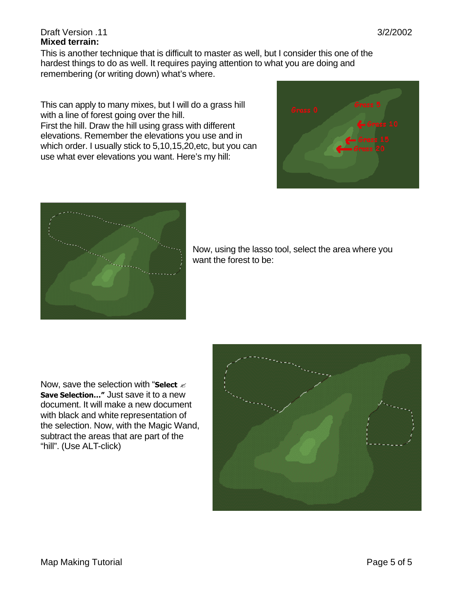#### Draft Version .11 3/2/2002 **Mixed terrain:**

This is another technique that is difficult to master as well, but I consider this one of the hardest things to do as well. It requires paying attention to what you are doing and remembering (or writing down) what's where.

This can apply to many mixes, but I will do a grass hill with a line of forest going over the hill.

First the hill. Draw the hill using grass with different elevations. Remember the elevations you use and in which order. I usually stick to 5,10,15,20,etc, but you can use what ever elevations you want. Here's my hill:





Now, using the lasso tool, select the area where you want the forest to be:

Now, save the selection with "**Select**  $\mathscr{\mathscr{E}}$ **Save Selection…"** Just save it to a new document. It will make a new document with black and white representation of the selection. Now, with the Magic Wand, subtract the areas that are part of the "hill". (Use ALT-click)

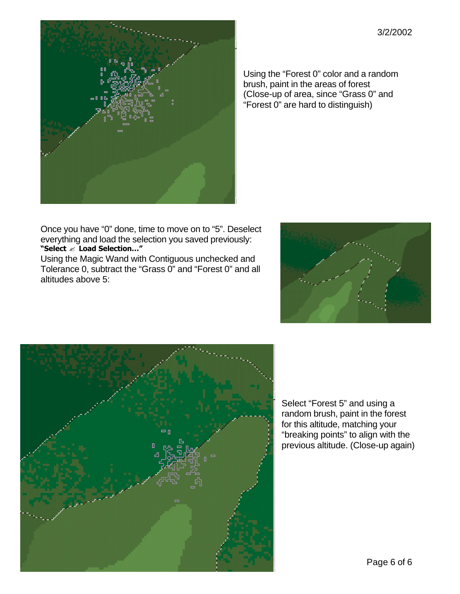

Using the "Forest 0" color and a random brush, paint in the areas of forest (Close-up of area, since "Grass 0" and "Forest 0" are hard to distinguish)

Once you have "0" done, time to move on to "5". Deselect everything and load the selection you saved previously: **"Select** ? **Load Selection…"**

Using the Magic Wand with Contiguous unchecked and Tolerance 0, subtract the "Grass 0" and "Forest 0" and all altitudes above 5:





Select "Forest 5" and using a random brush, paint in the forest for this altitude, matching your "breaking points" to align with the previous altitude. (Close-up again)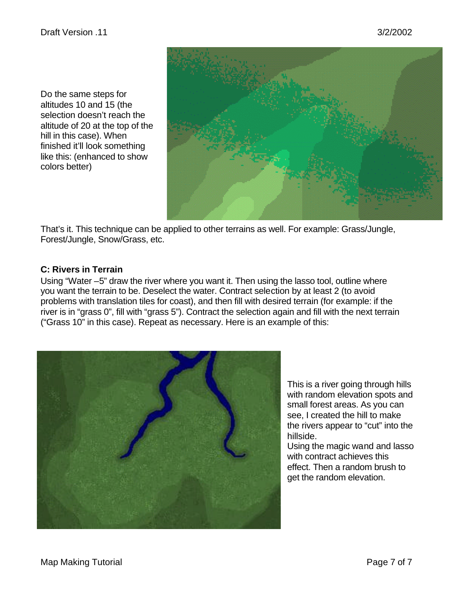Do the same steps for altitudes 10 and 15 (the selection doesn't reach the altitude of 20 at the top of the hill in this case). When finished it'll look something like this: (enhanced to show colors better)



That's it. This technique can be applied to other terrains as well. For example: Grass/Jungle, Forest/Jungle, Snow/Grass, etc.

#### **C: Rivers in Terrain**

Using "Water –5" draw the river where you want it. Then using the lasso tool, outline where you want the terrain to be. Deselect the water. Contract selection by at least 2 (to avoid problems with translation tiles for coast), and then fill with desired terrain (for example: if the river is in "grass 0", fill with "grass 5"). Contract the selection again and fill with the next terrain ("Grass 10" in this case). Repeat as necessary. Here is an example of this:



This is a river going through hills with random elevation spots and small forest areas. As you can see, I created the hill to make the rivers appear to "cut" into the hillside.

Using the magic wand and lasso with contract achieves this effect. Then a random brush to get the random elevation.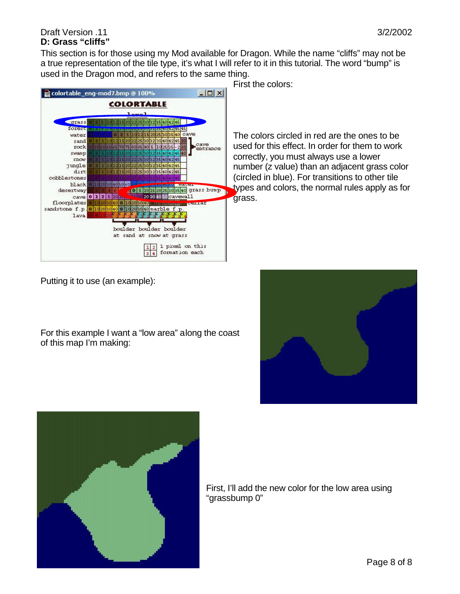#### Draft Version .11 3/2/2002 **D: Grass "cliffs"**

This section is for those using my Mod available for Dragon. While the name "cliffs" may not be a true representation of the tile type, it's what I will refer to it in this tutorial. The word "bump" is used in the Dragon mod, and refers to the same thing.



First the colors:

The colors circled in red are the ones to be used for this effect. In order for them to work correctly, you must always use a lower number (z value) than an adjacent grass color (circled in blue). For transitions to other tile types and colors, the normal rules apply as for grass.

Putting it to use (an example):

For this example I want a "low area" along the coast of this map I'm making:





First, I'll add the new color for the low area using "grassbump 0"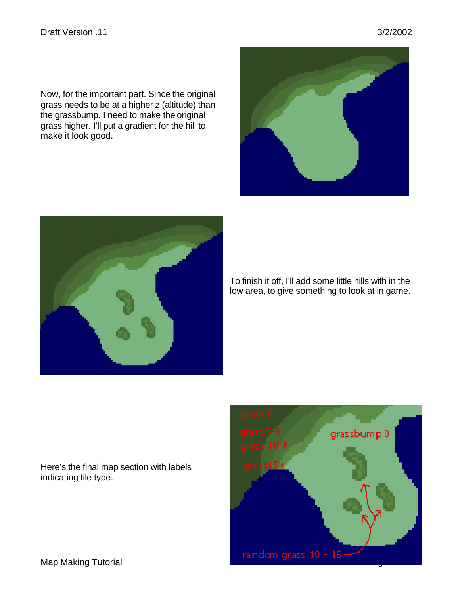Now, for the important part. Since the original grass needs to be at a higher z (altitude) than the grassbump, I need to make the original grass higher. I'll put a gradient for the hill to make it look good.

Here's the final map section with labels indicating tile type.

To finish it off, I'll add some little hills with in the low area, to give something to look at in game.





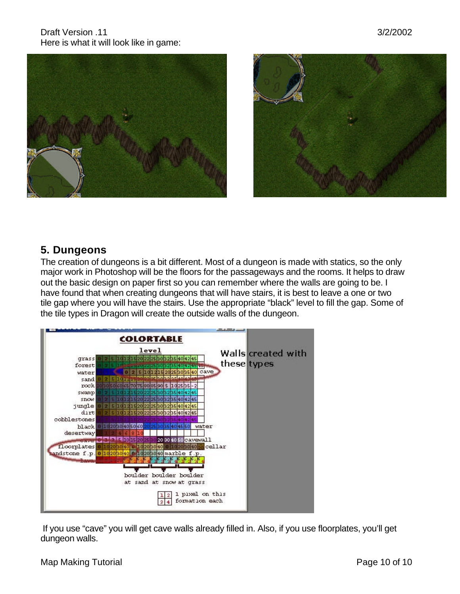Draft Version .11 3/2/2002 Here is what it will look like in game:





# **5. Dungeons**

The creation of dungeons is a bit different. Most of a dungeon is made with statics, so the only major work in Photoshop will be the floors for the passageways and the rooms. It helps to draw out the basic design on paper first so you can remember where the walls are going to be. I have found that when creating dungeons that will have stairs, it is best to leave a one or two tile gap where you will have the stairs. Use the appropriate "black" level to fill the gap. Some of the tile types in Dragon will create the outside walls of the dungeon.



 If you use "cave" you will get cave walls already filled in. Also, if you use floorplates, you'll get dungeon walls.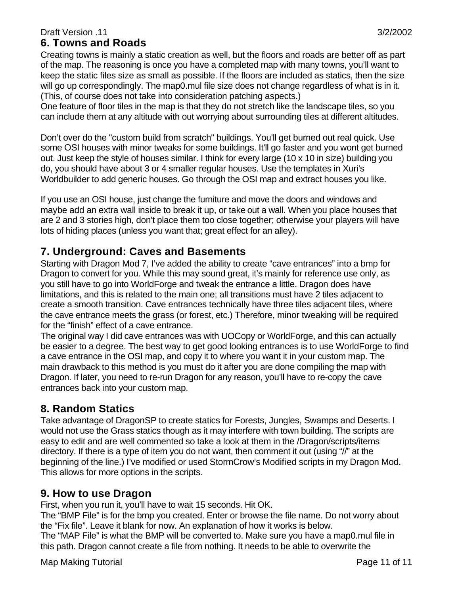## **6. Towns and Roads**

Creating towns is mainly a static creation as well, but the floors and roads are better off as part of the map. The reasoning is once you have a completed map with many towns, you'll want to keep the static files size as small as possible. If the floors are included as statics, then the size will go up correspondingly. The map0.mul file size does not change regardless of what is in it. (This, of course does not take into consideration patching aspects.)

One feature of floor tiles in the map is that they do not stretch like the landscape tiles, so you can include them at any altitude with out worrying about surrounding tiles at different altitudes.

Don't over do the "custom build from scratch" buildings. You'll get burned out real quick. Use some OSI houses with minor tweaks for some buildings. It'll go faster and you wont get burned out. Just keep the style of houses similar. I think for every large (10 x 10 in size) building you do, you should have about 3 or 4 smaller regular houses. Use the templates in Xuri's Worldbuilder to add generic houses. Go through the OSI map and extract houses you like.

If you use an OSI house, just change the furniture and move the doors and windows and maybe add an extra wall inside to break it up, or take out a wall. When you place houses that are 2 and 3 stories high, don't place them too close together; otherwise your players will have lots of hiding places (unless you want that; great effect for an alley).

# **7. Underground: Caves and Basements**

Starting with Dragon Mod 7, I've added the ability to create "cave entrances" into a bmp for Dragon to convert for you. While this may sound great, it's mainly for reference use only, as you still have to go into WorldForge and tweak the entrance a little. Dragon does have limitations, and this is related to the main one; all transitions must have 2 tiles adjacent to create a smooth transition. Cave entrances technically have three tiles adjacent tiles, where the cave entrance meets the grass (or forest, etc.) Therefore, minor tweaking will be required for the "finish" effect of a cave entrance.

The original way I did cave entrances was with UOCopy or WorldForge, and this can actually be easier to a degree. The best way to get good looking entrances is to use WorldForge to find a cave entrance in the OSI map, and copy it to where you want it in your custom map. The main drawback to this method is you must do it after you are done compiling the map with Dragon. If later, you need to re-run Dragon for any reason, you'll have to re-copy the cave entrances back into your custom map.

# **8. Random Statics**

Take advantage of DragonSP to create statics for Forests, Jungles, Swamps and Deserts. I would not use the Grass statics though as it may interfere with town building. The scripts are easy to edit and are well commented so take a look at them in the /Dragon/scripts/items directory. If there is a type of item you do not want, then comment it out (using "//" at the beginning of the line.) I've modified or used StormCrow's Modified scripts in my Dragon Mod. This allows for more options in the scripts.

# **9. How to use Dragon**

First, when you run it, you'll have to wait 15 seconds. Hit OK.

The "BMP File" is for the bmp you created. Enter or browse the file name. Do not worry about the "Fix file". Leave it blank for now. An explanation of how it works is below.

The "MAP File" is what the BMP will be converted to. Make sure you have a map0.mul file in this path. Dragon cannot create a file from nothing. It needs to be able to overwrite the

Map Making Tutorial **Page 11 of 11** Number 2012 12:00 Page 11 of 11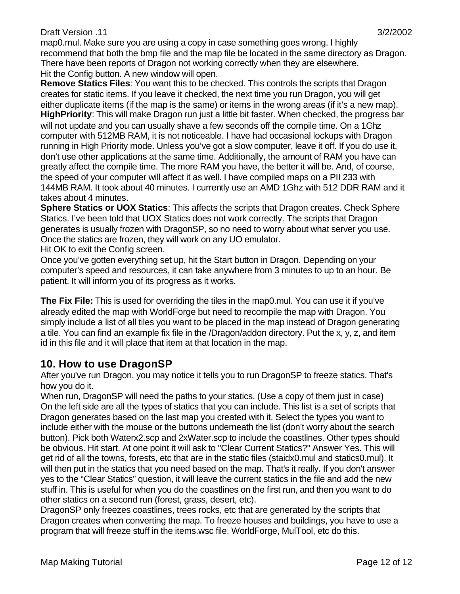map0.mul. Make sure you are using a copy in case something goes wrong. I highly recommend that both the bmp file and the map file be located in the same directory as Dragon. There have been reports of Dragon not working correctly when they are elsewhere. Hit the Config button. A new window will open.

**Remove Statics Files**: You want this to be checked. This controls the scripts that Dragon creates for static items. If you leave it checked, the next time you run Dragon, you will get either duplicate items (if the map is the same) or items in the wrong areas (if it's a new map). **HighPriority**: This will make Dragon run just a little bit faster. When checked, the progress bar will not update and you can usually shave a few seconds off the compile time. On a 1Ghz computer with 512MB RAM, it is not noticeable. I have had occasional lockups with Dragon running in High Priority mode. Unless you've got a slow computer, leave it off. If you do use it, don't use other applications at the same time. Additionally, the amount of RAM you have can greatly affect the compile time. The more RAM you have, the better it will be. And, of course, the speed of your computer will affect it as well. I have compiled maps on a PII 233 with 144MB RAM. It took about 40 minutes. I currently use an AMD 1Ghz with 512 DDR RAM and it takes about 4 minutes.

**Sphere Statics or UOX Statics**: This affects the scripts that Dragon creates. Check Sphere Statics. I've been told that UOX Statics does not work correctly. The scripts that Dragon generates is usually frozen with DragonSP, so no need to worry about what server you use. Once the statics are frozen, they will work on any UO emulator.

Hit OK to exit the Config screen.

Once you've gotten everything set up, hit the Start button in Dragon. Depending on your computer's speed and resources, it can take anywhere from 3 minutes to up to an hour. Be patient. It will inform you of its progress as it works.

**The Fix File:** This is used for overriding the tiles in the map0.mul. You can use it if you've already edited the map with WorldForge but need to recompile the map with Dragon. You simply include a list of all tiles you want to be placed in the map instead of Dragon generating a tile. You can find an example fix file in the /Dragon/addon directory. Put the x, y, z, and item id in this file and it will place that item at that location in the map.

# **10. How to use DragonSP**

After you've run Dragon, you may notice it tells you to run DragonSP to freeze statics. That's how you do it.

When run, DragonSP will need the paths to your statics. (Use a copy of them just in case) On the left side are all the types of statics that you can include. This list is a set of scripts that Dragon generates based on the last map you created with it. Select the types you want to include either with the mouse or the buttons underneath the list (don't worry about the search button). Pick both Waterx2.scp and 2xWater.scp to include the coastlines. Other types should be obvious. Hit start. At one point it will ask to "Clear Current Statics?" Answer Yes. This will get rid of all the towns, forests, etc that are in the static files (staidx0.mul and statics0.mul). It will then put in the statics that you need based on the map. That's it really. If you don't answer yes to the "Clear Statics" question, it will leave the current statics in the file and add the new stuff in. This is useful for when you do the coastlines on the first run, and then you want to do other statics on a second run (forest, grass, desert, etc).

DragonSP only freezes coastlines, trees rocks, etc that are generated by the scripts that Dragon creates when converting the map. To freeze houses and buildings, you have to use a program that will freeze stuff in the items.wsc file. WorldForge, MulTool, etc do this.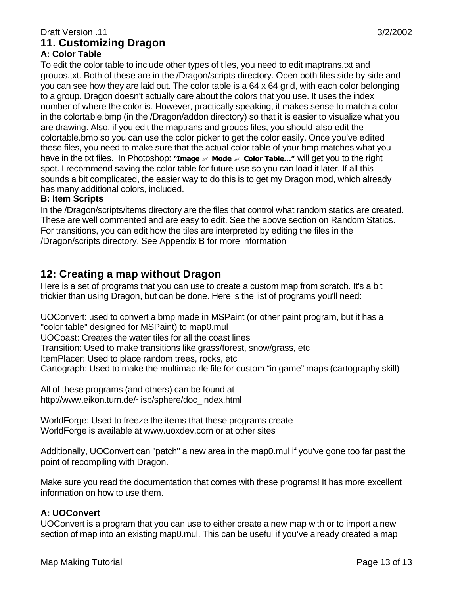# **A: Color Table**

To edit the color table to include other types of tiles, you need to edit maptrans.txt and groups.txt. Both of these are in the /Dragon/scripts directory. Open both files side by side and you can see how they are laid out. The color table is a 64 x 64 grid, with each color belonging to a group. Dragon doesn't actually care about the colors that you use. It uses the index number of where the color is. However, practically speaking, it makes sense to match a color in the colortable.bmp (in the /Dragon/addon directory) so that it is easier to visualize what you are drawing. Also, if you edit the maptrans and groups files, you should also edit the colortable.bmp so you can use the color picker to get the color easily. Once you've edited these files, you need to make sure that the actual color table of your bmp matches what you have in the txt files. In Photoshop: **"Image** ? **Mode** ? **Color Table…"** will get you to the right spot. I recommend saving the color table for future use so you can load it later. If all this sounds a bit complicated, the easier way to do this is to get my Dragon mod, which already has many additional colors, included.

#### **B: Item Scripts**

In the /Dragon/scripts/items directory are the files that control what random statics are created. These are well commented and are easy to edit. See the above section on Random Statics. For transitions, you can edit how the tiles are interpreted by editing the files in the /Dragon/scripts directory. See Appendix B for more information

# **12: Creating a map without Dragon**

Here is a set of programs that you can use to create a custom map from scratch. It's a bit trickier than using Dragon, but can be done. Here is the list of programs you'll need:

UOConvert: used to convert a bmp made in MSPaint (or other paint program, but it has a "color table" designed for MSPaint) to map0.mul UOCoast: Creates the water tiles for all the coast lines Transition: Used to make transitions like grass/forest, snow/grass, etc ItemPlacer: Used to place random trees, rocks, etc Cartograph: Used to make the multimap.rle file for custom "in-game" maps (cartography skill)

All of these programs (and others) can be found at http://www.eikon.tum.de/~isp/sphere/doc\_index.html

WorldForge: Used to freeze the items that these programs create WorldForge is available at www.uoxdev.com or at other sites

Additionally, UOConvert can "patch" a new area in the map0.mul if you've gone too far past the point of recompiling with Dragon.

Make sure you read the documentation that comes with these programs! It has more excellent information on how to use them.

### **A: UOConvert**

UOConvert is a program that you can use to either create a new map with or to import a new section of map into an existing map0.mul. This can be useful if you've already created a map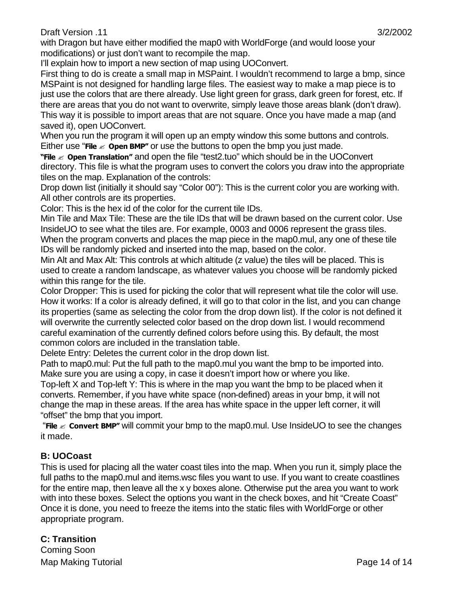I'll explain how to import a new section of map using UOConvert.

First thing to do is create a small map in MSPaint. I wouldn't recommend to large a bmp, since MSPaint is not designed for handling large files. The easiest way to make a map piece is to just use the colors that are there already. Use light green for grass, dark green for forest, etc. If there are areas that you do not want to overwrite, simply leave those areas blank (don't draw). This way it is possible to import areas that are not square. Once you have made a map (and saved it), open UOConvert.

When you run the program it will open up an empty window this some buttons and controls. Either use "**File**  $\leq$  **Open BMP"** or use the buttons to open the bmp you just made.

**"File**  $\leq$  **Open Translation"** and open the file "test2.tuo" which should be in the UOConvert directory. This file is what the program uses to convert the colors you draw into the appropriate tiles on the map. Explanation of the controls:

Drop down list (initially it should say "Color 00"): This is the current color you are working with. All other controls are its properties.

Color: This is the hex id of the color for the current tile IDs.

Min Tile and Max Tile: These are the tile IDs that will be drawn based on the current color. Use InsideUO to see what the tiles are. For example, 0003 and 0006 represent the grass tiles. When the program converts and places the map piece in the map0.mul, any one of these tile IDs will be randomly picked and inserted into the map, based on the color.

Min Alt and Max Alt: This controls at which altitude (z value) the tiles will be placed. This is used to create a random landscape, as whatever values you choose will be randomly picked within this range for the tile.

Color Dropper: This is used for picking the color that will represent what tile the color will use. How it works: If a color is already defined, it will go to that color in the list, and you can change its properties (same as selecting the color from the drop down list). If the color is not defined it will overwrite the currently selected color based on the drop down list. I would recommend careful examination of the currently defined colors before using this. By default, the most common colors are included in the translation table.

Delete Entry: Deletes the current color in the drop down list.

Path to map0.mul: Put the full path to the map0.mul you want the bmp to be imported into. Make sure you are using a copy, in case it doesn't import how or where you like.

Top-left X and Top-left Y: This is where in the map you want the bmp to be placed when it converts. Remember, if you have white space (non-defined) areas in your bmp, it will not change the map in these areas. If the area has white space in the upper left corner, it will "offset" the bmp that you import.

 "**File** ? **Convert BMP"** will commit your bmp to the map0.mul. Use InsideUO to see the changes it made.

## **B: UOCoast**

This is used for placing all the water coast tiles into the map. When you run it, simply place the full paths to the map0.mul and items.wsc files you want to use. If you want to create coastlines for the entire map, then leave all the x y boxes alone. Otherwise put the area you want to work with into these boxes. Select the options you want in the check boxes, and hit "Create Coast" Once it is done, you need to freeze the items into the static files with WorldForge or other appropriate program.

Map Making Tutorial **Page 14 of 14 C: Transition** Coming Soon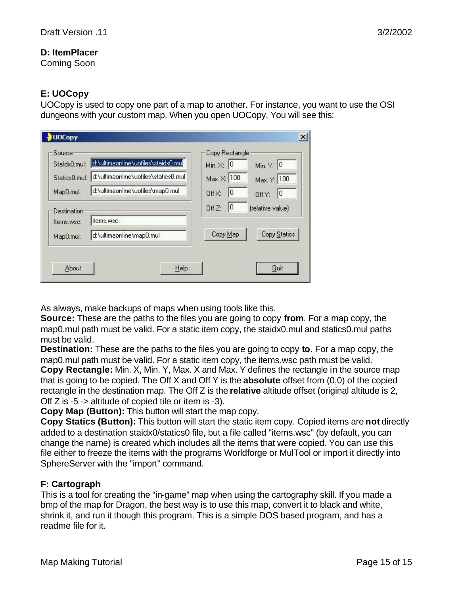### **D: ItemPlacer**

Coming Soon

### **E: UOCopy**

UOCopy is used to copy one part of a map to another. For instance, you want to use the OSI dungeons with your custom map. When you open UOCopy, You will see this:

| Staldx0.mul:  | d:\ultimaonline\uofiles\staidx0.mul  | Min. $\times$ : 0        | Min. Y: 0        |
|---------------|--------------------------------------|--------------------------|------------------|
| Statics0.mul: | d:\ultimaonline\uofiles\statics0.mul | Max. X: 100              | Max. Y: 100      |
| Map0.mul:     | d:\ultimaonline\uofiles\map0.mul     | 10<br>Off X:             | 10<br>Off Y:     |
| Destination   |                                      | 10<br>Off <sub>Z</sub> : | (relative value) |
| Items, wsc:   | items.wsc                            |                          |                  |
| Map0.mul:     | d:\ultimaonline\map0.mul             | Copy Map                 | Copy Statics     |

As always, make backups of maps when using tools like this.

**Source:** These are the paths to the files you are going to copy **from**. For a map copy, the map0.mul path must be valid. For a static item copy, the staidx0.mul and statics0.mul paths must be valid.

**Destination:** These are the paths to the files you are going to copy **to**. For a map copy, the map0.mul path must be valid. For a static item copy, the items.wsc path must be valid. **Copy Rectangle:** Min. X, Min. Y, Max. X and Max. Y defines the rectangle in the source map that is going to be copied. The Off X and Off Y is the **absolute** offset from (0,0) of the copied

rectangle in the destination map. The Off Z is the **relative** altitude offset (original altitude is 2, Off Z is -5 -> altitude of copied tile or item is -3).

**Copy Map (Button):** This button will start the map copy.

**Copy Statics (Button):** This button will start the static item copy. Copied items are **not** directly added to a destination staidx0/statics0 file, but a file called "items.wsc" (by default, you can change the name) is created which includes all the items that were copied. You can use this file either to freeze the items with the programs Worldforge or MulTool or import it directly into SphereServer with the "import" command.

### **F: Cartograph**

This is a tool for creating the "in-game" map when using the cartography skill. If you made a bmp of the map for Dragon, the best way is to use this map, convert it to black and white, shrink it, and run it though this program. This is a simple DOS based program, and has a readme file for it.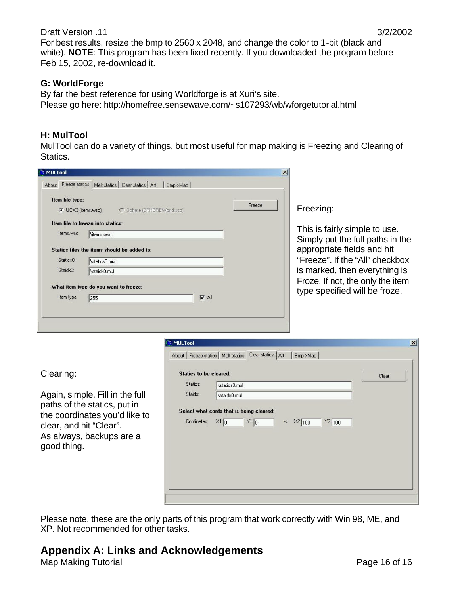#### **G: WorldForge**

By far the best reference for using Worldforge is at Xuri's site. Please go here: http://homefree.sensewave.com/~s107293/wb/wforgetutorial.html

### **H: MulTool**

MulTool can do a variety of things, but most useful for map making is Freezing and Clearing of Statics.



Please note, these are the only parts of this program that work correctly with Win 98, ME, and XP. Not recommended for other tasks.

# **Appendix A: Links and Acknowledgements**

Map Making Tutorial **Page 16 of 16**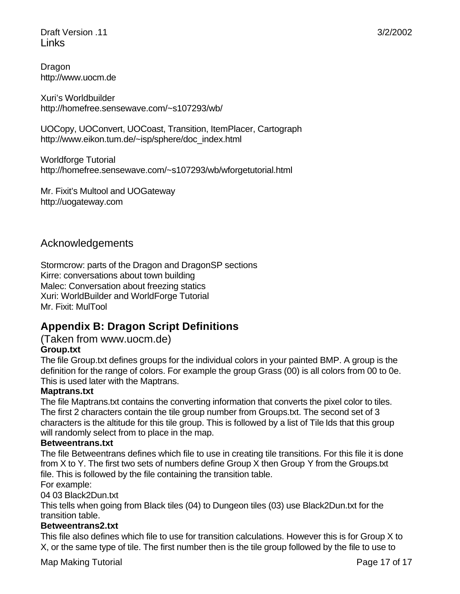Draft Version .11 3/2/2002 Links

Dragon http://www.uocm.de

Xuri's Worldbuilder http://homefree.sensewave.com/~s107293/wb/

UOCopy, UOConvert, UOCoast, Transition, ItemPlacer, Cartograph http://www.eikon.tum.de/~isp/sphere/doc\_index.html

Worldforge Tutorial http://homefree.sensewave.com/~s107293/wb/wforgetutorial.html

Mr. Fixit's Multool and UOGateway http://uogateway.com

## Acknowledgements

Stormcrow: parts of the Dragon and DragonSP sections Kirre: conversations about town building Malec: Conversation about freezing statics Xuri: WorldBuilder and WorldForge Tutorial Mr. Fixit: MulTool

# **Appendix B: Dragon Script Definitions**

#### (Taken from www.uocm.de) **Group.txt**

The file Group.txt defines groups for the individual colors in your painted BMP. A group is the definition for the range of colors. For example the group Grass (00) is all colors from 00 to 0e. This is used later with the Maptrans.

### **Maptrans.txt**

The file Maptrans.txt contains the converting information that converts the pixel color to tiles. The first 2 characters contain the tile group number from Groups.txt. The second set of 3 characters is the altitude for this tile group. This is followed by a list of Tile Ids that this group will randomly select from to place in the map.

#### **Betweentrans.txt**

The file Betweentrans defines which file to use in creating tile transitions. For this file it is done from X to Y. The first two sets of numbers define Group X then Group Y from the Groups.txt file. This is followed by the file containing the transition table. For example:

04 03 Black2Dun.txt

This tells when going from Black tiles (04) to Dungeon tiles (03) use Black2Dun.txt for the transition table.

#### **Betweentrans2.txt**

This file also defines which file to use for transition calculations. However this is for Group X to X, or the same type of tile. The first number then is the tile group followed by the file to use to

Map Making Tutorial Page 17 of 17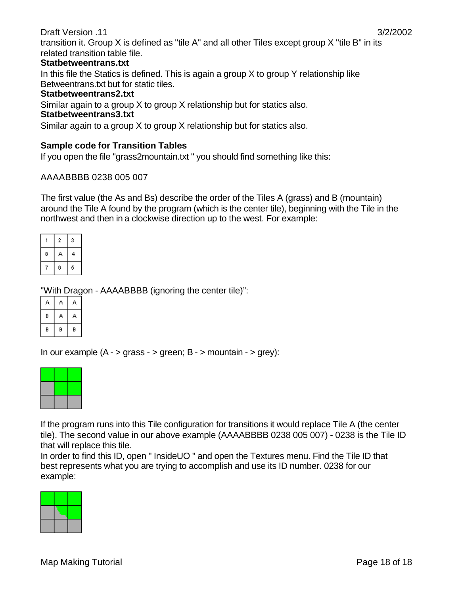transition it. Group X is defined as "tile A" and all other Tiles except group X "tile B" in its related transition table file.

#### **Statbetweentrans.txt**

In this file the Statics is defined. This is again a group X to group Y relationship like Betweentrans.txt but for static tiles.

#### **Statbetweentrans2.txt**

Similar again to a group X to group X relationship but for statics also.

#### **Statbetweentrans3.txt**

Similar again to a group X to group X relationship but for statics also.

### **Sample code for Transition Tables**

If you open the file "grass2mountain.txt " you should find something like this:

#### AAAABBBB 0238 005 007

The first value (the As and Bs) describe the order of the Tiles A (grass) and B (mountain) around the Tile A found by the program (which is the center tile), beginning with the Tile in the northwest and then in a clockwise direction up to the west. For example:

|   | 2 | 3 |
|---|---|---|
| 8 | ₿ | 4 |
| 7 | 6 | 5 |

"With Dragon - AAAABBBB (ignoring the center tile)":

| B |   |   |
|---|---|---|
| B | B | B |

In our example  $(A - > g \cdot s)$  green;  $B - >$  mountain  $- > g \cdot s$ ):

|       |       | -- |
|-------|-------|----|
| __    |       | -  |
| _____ | _____ | __ |

If the program runs into this Tile configuration for transitions it would replace Tile A (the center tile). The second value in our above example (AAAABBBB 0238 005 007) - 0238 is the Tile ID that will replace this tile.

In order to find this ID, open " InsideUO " and open the Textures menu. Find the Tile ID that best represents what you are trying to accomplish and use its ID number. 0238 for our example: